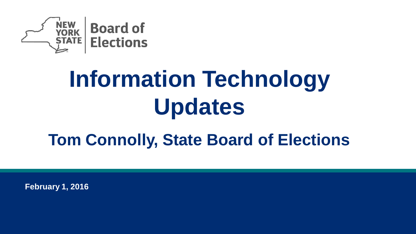

# **Information Technology Updates**

## **Tom Connolly, State Board of Elections**

**February 1, 2016**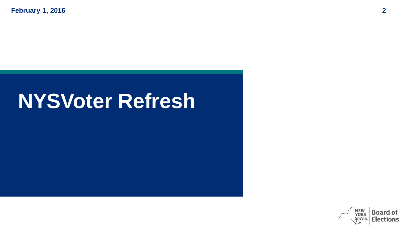**February 1, 2016 2**

## **NYSVoter Refresh**

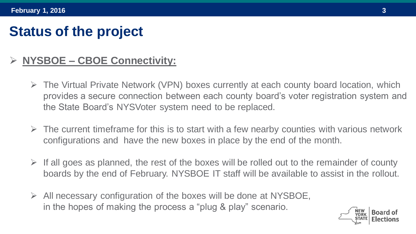### **Status of the project**

#### **NYSBOE – CBOE Connectivity:**

- $\triangleright$  The Virtual Private Network (VPN) boxes currently at each county board location, which provides a secure connection between each county board's voter registration system and the State Board's NYSVoter system need to be replaced.
- $\triangleright$  The current timeframe for this is to start with a few nearby counties with various network configurations and have the new boxes in place by the end of the month.
- $\triangleright$  If all goes as planned, the rest of the boxes will be rolled out to the remainder of county boards by the end of February. NYSBOE IT staff will be available to assist in the rollout.
- $\triangleright$  All necessary configuration of the boxes will be done at NYSBOE, in the hopes of making the process a "plug & play" scenario.

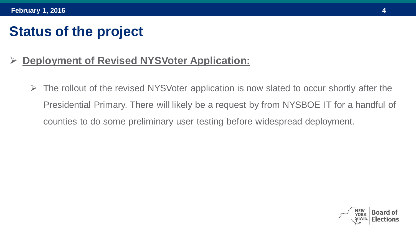## **Status of the project**

#### **Deployment of Revised NYSVoter Application:**

 $\triangleright$  The rollout of the revised NYSVoter application is now slated to occur shortly after the Presidential Primary. There will likely be a request by from NYSBOE IT for a handful of counties to do some preliminary user testing before widespread deployment.

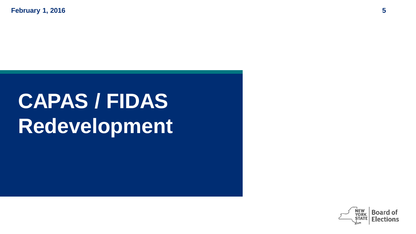**February 1, 2016 5**

# **CAPAS / FIDAS Redevelopment**

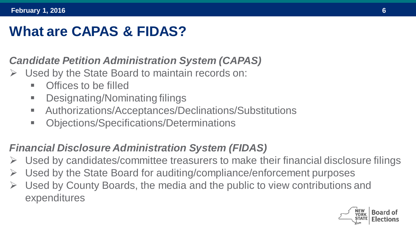## **What are CAPAS & FIDAS?**

#### *Candidate Petition Administration System (CAPAS)*

- Used by the State Board to maintain records on:
	- **•** Offices to be filled
	- Designating/Nominating filings
	- Authorizations/Acceptances/Declinations/Substitutions
	- Objections/Specifications/Determinations

#### *Financial Disclosure Administration System (FIDAS)*

- Used by candidates/committee treasurers to make their financial disclosure filings
- Used by the State Board for auditing/compliance/enforcement purposes
- Used by County Boards, the media and the public to view contributions and expenditures